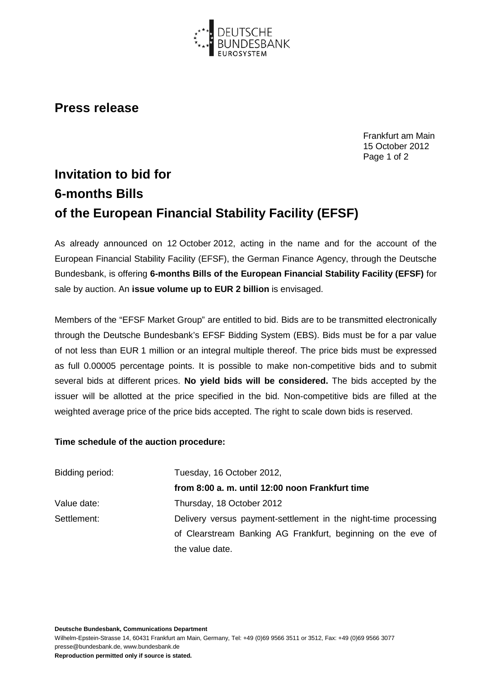

## **Press release**

Frankfurt am Main 15 October 2012 Page 1 of 2

## **Invitation to bid for 6-months Bills of the European Financial Stability Facility (EFSF)**

As already announced on 12 October 2012, acting in the name and for the account of the European Financial Stability Facility (EFSF), the German Finance Agency, through the Deutsche Bundesbank, is offering **6-months Bills of the European Financial Stability Facility (EFSF)** for sale by auction. An **issue volume up to EUR 2 billion** is envisaged.

Members of the "EFSF Market Group" are entitled to bid. Bids are to be transmitted electronically through the Deutsche Bundesbank's EFSF Bidding System (EBS). Bids must be for a par value of not less than EUR 1 million or an integral multiple thereof. The price bids must be expressed as full 0.00005 percentage points. It is possible to make non-competitive bids and to submit several bids at different prices. **No yield bids will be considered.** The bids accepted by the issuer will be allotted at the price specified in the bid. Non-competitive bids are filled at the weighted average price of the price bids accepted. The right to scale down bids is reserved.

## **Time schedule of the auction procedure:**

| Bidding period: | Tuesday, 16 October 2012,                                       |
|-----------------|-----------------------------------------------------------------|
|                 | from 8:00 a. m. until 12:00 noon Frankfurt time                 |
| Value date:     | Thursday, 18 October 2012                                       |
| Settlement:     | Delivery versus payment-settlement in the night-time processing |
|                 | of Clearstream Banking AG Frankfurt, beginning on the eve of    |
|                 | the value date.                                                 |

**Deutsche Bundesbank, Communications Department**

Wilhelm-Epstein-Strasse 14, 60431 Frankfurt am Main, Germany, Tel: +49 (0)69 9566 3511 or 3512, Fax: +49 (0)69 9566 3077 presse@bundesbank.de, www.bundesbank.de

**Reproduction permitted only if source is stated.**